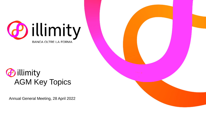

### *<u>Dillimity</u>* AGM Key Topics

Annual General Meeting, 28 April 2022

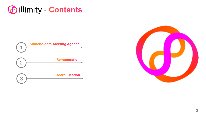



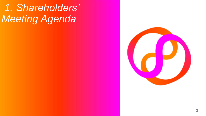# *1. Shareholders' Meeting Agenda*

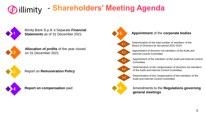### - Shareholders' Meeting Agenda *<u>Dillimity</u>*



illimity Bank S.p.A.'s Separate **Financial Statements** as of 31 December 2021



**Allocation of profits** of the year closed on 31 December 2021



Report on **Remuneration Policy**



**Report on compensation** paid



### **Appointment** of the **corporate bodies**

Determination of the total number of members of the Board of Directors for the period 2022-2024

Appointment of directors not members of the Audit and Internal Control Committee

Appointment of the members of the Audit and Internal Control

Determination of the compensation of directors not members of the Audit and Internal Control Committee

Determination of the compensation of the members of the Audit and Internal Control Committee

### Amendments to the **Regulations governing general meetings**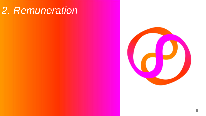# *2. Remuneration*

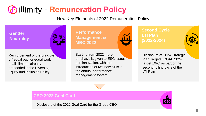## *C* illimity - Remuneration Policy

New Key Elements of 2022 Remuneration Policy

**Gender Gender Neutrality Neutrality**



Reinforcement of the principle of "equal pay for equal work" to all illimiters already embedded in the Diversity, Equity and Inclusion Policy

**Performance Management & MBO 2022**



Starting from 2022 more emphasis is given to ESG issues **innovation, with the**  and innovation, with the introduction of two new KPIs in the annual performance management system

**Second Cycle LTI Plan (2022-2024)**



Disclosure of 2024 Strategic Plan Targets (ROAE 2024 target 19%) as part of the **LTI Plan** second rolling cycle of the

> $\mathbf{r}$ CEO

### **CEO 2022 Goal Card**

Disclosure of the 2022 Goal Card for the Group CEO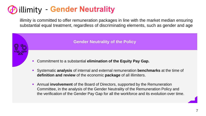## **(P)** illimity - Gender Neutrality

illimity is committed to offer remuneration packages in line with the market median ensuring substantial equal treatment, regardless of discriminating elements, such as gender and age

**Gender Neutrality of the Policy**

- Commitment to a substantial **elimination of the Equity Pay Gap.**
- Systematic **analysis** of internal and external remuneration **benchmarks** at the time of **definition and review** of the economic **package** of all illimiters.
- Annual **involvement** of the Board of Directors, supported by the Remuneration Committee, in the analysis of the Gender Neutrality of the Remuneration Policy and the verification of the Gender Pay Gap for all the workforce and its evolution over time.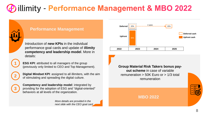## **Pillimity - Performance Management & MBO 2022**



**1**

**2**

**3**

### **Performance Management**

Introduction of **new KPIs** in the individual performance goal cards and update of **illimity competency and leadership model**. More in details:

**ESG KPI:** attributed to all managers of the group (previously only limited to CEO and Top Management).

**Digital Mindset KPI**: assigned to all illimiters, with the aim of stimulating and spreading the digital culture.

**Competency and leadership model**: integrated by providing for the adoption of ESG and "digital-oriented" behaviors at all levels of the organization.

> *More details are provided in the next slide with the CEO goal card*



**Group Material Risk Takers bonus payout scheme** in case of variable remuneration > 50K Euro or > 1/3 total remuneration



**MBO 2022**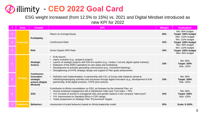### **@ illimity - CEO 2022 Goal Card**

ESG weight increased (from 12.5% to 15%) vs. 2021 and Digital Mindset introduced as new KPI for 2022

|                | Area              | <b>Cluster</b>                                                               | <b>KPI</b>                                                                                                                                                                                                                                                                                                                                                                                                           | Weight | <b>Evaluation</b>                                          |
|----------------|-------------------|------------------------------------------------------------------------------|----------------------------------------------------------------------------------------------------------------------------------------------------------------------------------------------------------------------------------------------------------------------------------------------------------------------------------------------------------------------------------------------------------------------|--------|------------------------------------------------------------|
|                |                   |                                                                              | Return on Average Equity                                                                                                                                                                                                                                                                                                                                                                                             | 20%    | Min: 90% budget<br>Target: 100% budget<br>Max: 110% budget |
| 2 <sup>1</sup> | <b>Financials</b> | Profitability                                                                | Cost/Income Ratio                                                                                                                                                                                                                                                                                                                                                                                                    | 10%    | Min: 110% budget<br>Target: 100% budget<br>Max: 90% budget |
| 3              |                   | <b>RIsk</b>                                                                  | Gross Organic NPE Ratio                                                                                                                                                                                                                                                                                                                                                                                              | 10%    | Min: 110% budget<br>Target: 100% budget<br>Max: 90% budget |
|                |                   | <b>Strategic</b><br><b>Actions</b>                                           | B-ilty launch;<br>$\bullet$<br>• neprix evolution (e.g., proptech project);<br>Launch of strategic projects with ION eco-system (e.g., Cedacri, Cerved, digital capital markets);<br>Extension of the SGR's operations to new areas and fundraising;<br>Development of activities generating commissions (e.g., Investment Banking);<br>Strengthening of HYPE strategic design and support to Plan goals achievement | 10%    | Min: 80%<br><b>Target: 100%</b><br>Max: 120%               |
| 5 <sup>1</sup> | <b>Strategy</b>   | <b>Continuous</b><br>innovation<br>strategic<br>actions (Digital<br>Mindset) | Definition and implementation, in partnership with CIO, of Group wide initiatives aimed at<br>rethinking/redesigning activities and processes through digital innovation (e.g., development of ION<br>partnership, B-ilty digital evolution, HYPE joint-venture)                                                                                                                                                     | 10%    | Min: 80%<br><b>Target: 100%</b><br>Max: 120%               |
| 6.             |                   | <b>ESG</b>                                                                   | Contribution to illimity consolidation on ESG, as foreseen by the Industrial Plan, on:<br>Annual employee engagement with a Satisfaction Index and Trust Index > 70%;<br>$\bullet$<br>YoY increase of women in managerial roles and gender balance in the company "talent pool";<br>• YoY improvement on Standard Ethics e CDP ratings;<br>• Yearly progression on Strategic Plan "Environment" targets              | 15%    | Min: 80%<br><b>Target: 100%</b><br>Max: 120%               |
|                | <b>Behaviors</b>  | <b>Behaviors</b>                                                             | Assessment of acted behaviors based on illimity leadership model                                                                                                                                                                                                                                                                                                                                                     | 25%    | <b>Scala: 0-120%</b>                                       |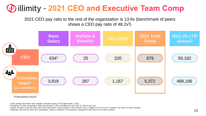### **(P) illimity - 2021 CEO and Executive Team Comp**

2021 CEO pay ratio to the rest of the organization is 13.6x (benchmark of peers shows a CEO pay ratio of 48.2x**<sup>1</sup>** )



*In thousands of euros*

<sup>1</sup> Latest average benchmark value available calculated among 8 FTSE Bank banks in 2020.

<sup>&</sup>lt;sup>2</sup> Considering his fixed compensation 530K Euro till April 21, 2021 and 680K Euro from April 22, 2021 till year end

<sup>3</sup> Number of shares across the whole 2021-2025 Plan horizon; only 8 members of the Executive Team is eligible to the LTIP since 3 members are Head of Control Functions

<sup>4</sup> Individuals who have the power and responsibility, directly or indirectly, for the planning, management and control of the entity's activities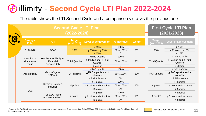## **D** illimity - Second Cycle LTI Plan 2022-2024

The table shows the LTI Second Cycle and a comparison vis-à-vis the previous one

|                                     | <b>Second Cycle LTI Plan</b><br>$(2022 - 2024)$          | <b>First Cycle LTI Plan</b><br>$(2021 - 2023)$ |                                                                                  |                                    |               |                       |                                                                                  |
|-------------------------------------|----------------------------------------------------------|------------------------------------------------|----------------------------------------------------------------------------------|------------------------------------|---------------|-----------------------|----------------------------------------------------------------------------------|
| <b>Strategic</b><br><b>Pillar</b>   | <b>KPI</b>                                               | <b>Target</b><br>(end 2024)                    | <b>Level of achievement</b>                                                      | % Incentive                        | <b>Weight</b> | Target<br>(end 2023)  | <b>Level of achievement</b>                                                      |
| Profitability                       | <b>ROAE</b>                                              | 19%                                            | >19%<br>$\geq$ 15% and $\leq$ 19%<br>< 15%                                       | 100%<br>60%-100%<br>0              | 50%           | 15%                   | >15%<br>$\geq$ 12% and $\leq$ 15%<br>< 12%                                       |
| Creation of<br>shareholder<br>value | Relative TSR illimity vs.<br>Financial<br>Services Italy | <b>Third Quartile</b>                          | >Third Quartile<br>$\geq$ Median and $\leq$ Third<br>Quartile<br>< Median        | 100%<br>60%-100%<br>$\overline{0}$ | 20%           | <b>Third Quartile</b> | >Third Quartile<br>$\geq$ Median and $\leq$ Third<br>Quartile<br>< Median        |
| Asset quality                       | Gross Organic<br><b>NPE</b> ratio                        | RAF appetite                                   | < RAF appetite<br>$\geq$ RAF appetite and $\leq$<br>tolerance<br>> RAF tolerance | 100%<br>60%-100%<br>$0\%$          | 10%           | RAF appetite          | < RAF appetite<br>$\geq$ RAF appetite and $\leq$<br>tolerance<br>> RAF tolerance |
|                                     | Diversity, Equity &<br>Inclusion                         | 4 points                                       | $\geq$ 4 points<br>$\geq$ 3 points and <4 points<br>< 3 points                   | 100%<br>60%-100%<br>0%             | 10%           | 4 points              | $\geq$ 4 points<br>$\geq$ 3 points and <4 points<br>< 3 points                   |
| <b>ESG</b>                          | Top ESG Rating<br>(Climate & Ethics)                     | 4 points <sup>1</sup>                          | $\geq$ 4 points<br>$\geq$ 3 points and <4 points<br>< 3 points                   | 100%<br>60%-100%<br>$0\%$          | 10%           | 4 points <sup>1</sup> | $\geq$ 4 points<br>$\geq$ 3 points and <4 points<br>< 3 points                   |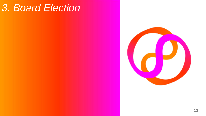## *3. Board Election*

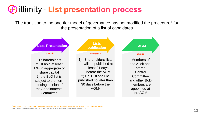### *E* illimity - List presentation process

The transition to the one-tier model of governance has not modified the procedure<sup>1</sup> for the presentation of a list of candidates



<sup>1</sup>[Procedure for the presentation by the Board of Directors of a list of candidates for the renewal of the corporate bodies](https://assets.ctfassets.net/0ei02du1nnrl/3X47c99KXfy6JgnXfVe4SB/633f8fd0e06c2c113361f160b542e87f/Procedure_for_the_presentation_of_the_slate.pdf)

<sup>2</sup>All the documentation regarding the Board's list for 28 April AGM was published on 18 March 2022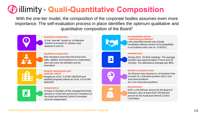## **(P)** illimity - Quali-Quantitative Composition

With the one-tier model, the composition of the corporate bodies assumes even more importance. The self-evaluation process in place identifies the optimum qualitative and quantitative composition of the Board<sup>1</sup>



#### **Quantitive composition**

In the "one-tier" model no. of directors should not exceed 19. Bylaws says between 9 and 15.



#### **Qualitative composition**

BoD members must have the know-how, skills, abilities and experience to understand risks and carry out activities and be diversified.



#### **Integrity requirements and propriety criteria**

Integrity as of art. 3 of DM 169/2020 and satisfied propriety criteria as of art. 4-5 of DM 169/2020.

#### **Independence**

At least 4 members of the management body (section A of the list) and (b) all 3 members of the Audit and Internal Control Committee must be independent.



#### **Incompatibility and the "interlocking prohibition"**

Lists submitted should only include candidates without causes of incompatibility in accordance with Law no. 214/2011.



#### **Available time**

During 2021, 26 BoD meetings. The average duration was approximately 3 hours and 32 minutes. The attendance average was 98%.



 $\mathsf{S}$ 

#### **Number of positions held**

No Director may assume no. of positions that exceed: a) 1 executive position and 2 nonexecutive positions; b) 4 non-executive positions.

#### **Remuneration**

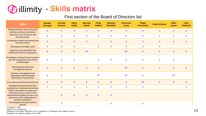### **@ illimity - Skills matrix**

### First section of the Board of Directors list

| <b>Skills</b>                                                                                                                                                                   | <b>Rosalba</b><br><b>Casiraghi</b> | <b>Corrado</b><br><b>Passera</b> | <b>Elena</b><br><b>Ciallié</b> | <b>Marcello</b><br><b>Valenti</b> | Paola<br><b>Galbiati</b> | <b>Massimo</b><br><b>Brambilla</b> | <b>Francesca</b><br>Lanza | <b>Filippo</b><br><b>Annunziata</b> | <b>Paola Schwizer</b> | <b>Valter</b><br>Lazzari | Lidia<br><b>Caldarola</b> |
|---------------------------------------------------------------------------------------------------------------------------------------------------------------------------------|------------------------------------|----------------------------------|--------------------------------|-----------------------------------|--------------------------|------------------------------------|---------------------------|-------------------------------------|-----------------------|--------------------------|---------------------------|
| Banking business and activity and<br>banking and financial products                                                                                                             | $\boldsymbol{x}$                   | $\boldsymbol{x}$                 | $\boldsymbol{x}$               | $\boldsymbol{x}$                  | $\boldsymbol{x}$         | $\boldsymbol{x}$                   | $\boldsymbol{x}$          | $\boldsymbol{X}$                    | $\boldsymbol{X}$      | $\boldsymbol{x}$         | $\boldsymbol{X}$          |
| Dynamics of the economic and<br>financial system                                                                                                                                | $\boldsymbol{x}$                   | $\boldsymbol{x}$                 | $\boldsymbol{x}$               | $\boldsymbol{x}$                  | $\boldsymbol{x}$         | $\boldsymbol{X}$                   | $\boldsymbol{x}$          | $\boldsymbol{x}$                    | $\boldsymbol{x}$      | $\boldsymbol{x}$         | $\boldsymbol{x}$          |
| Competitive context and banking and<br>financial markets                                                                                                                        | $\boldsymbol{x}$                   | $\boldsymbol{x}$                 | $\boldsymbol{x}$               | $\boldsymbol{x}$                  |                          | $\boldsymbol{X}$                   | $\boldsymbol{x}$          | $\boldsymbol{x}$                    | $\boldsymbol{x}$      | $\boldsymbol{x}$         | $\boldsymbol{x}$          |
| Planning and strategic vision                                                                                                                                                   | $\boldsymbol{x}$                   | $\boldsymbol{x}$                 | $\boldsymbol{x}$               |                                   | $\boldsymbol{X}$         | $\boldsymbol{x}$                   | $\boldsymbol{X}$          | $\boldsymbol{x}$                    | $\boldsymbol{X}$      |                          |                           |
| Legal and corporate affairs and<br>banking and financial regulations                                                                                                            | $\boldsymbol{x}$                   | $\boldsymbol{x}$                 | $\boldsymbol{x}$               | $X^{(2)}$                         |                          |                                    | $X^{(3)}$                 | $\boldsymbol{x}$                    | $\boldsymbol{x}$      | $\boldsymbol{x}$         | $\boldsymbol{X}$          |
| Knowledge of internal control systems<br>and risk management and control<br>methodologies                                                                                       | $\boldsymbol{x}$                   | $\boldsymbol{x}$                 | $\boldsymbol{x}$               |                                   | $\boldsymbol{X}$         | $\boldsymbol{x}$                   | $\boldsymbol{x}$          | $\boldsymbol{x}$                    | $\boldsymbol{x}$      | $\boldsymbol{x}$         |                           |
| Banking governance and<br>management systems                                                                                                                                    | $\boldsymbol{x}$                   | $\boldsymbol{x}$                 | $\boldsymbol{x}$               | $\boldsymbol{x}$                  | $\boldsymbol{x}$         |                                    | $X^{(3)}$                 | $\boldsymbol{x}$                    | $\boldsymbol{X}$      | $\boldsymbol{x}$         | $\boldsymbol{x}$          |
| <b>Business management and</b><br>organisation and information<br>technology (IT) processes                                                                                     | $\boldsymbol{X}$                   | $\boldsymbol{x}$                 |                                |                                   | $X^{(1)}$                |                                    | $X^{(1)}$                 | X                                   |                       | $X^{(1)}$                |                           |
| Accounting and financial disclosures                                                                                                                                            | $\boldsymbol{x}$                   | $\boldsymbol{x}$                 | $\boldsymbol{X}$               | $\boldsymbol{x}$                  | $\boldsymbol{X}$         | $\boldsymbol{x}$                   | $\boldsymbol{X}$          | $X^{(4)}$                           | $\boldsymbol{X}$      | $\boldsymbol{X}$         | $\boldsymbol{x}$          |
| Managerial/entrepreneurial skills<br>possibly in an industrial environment                                                                                                      | $\boldsymbol{x}$                   | $\boldsymbol{x}$                 | $\boldsymbol{x}$               | $\boldsymbol{x}$                  | $\boldsymbol{x}$         | $\boldsymbol{X}$                   | $\boldsymbol{X}$          | $\boldsymbol{x}$                    |                       |                          | $\boldsymbol{X}$          |
| Skills in the sphere of turnaround<br>financing not only in terms of the<br>financial technicalities but also of an<br>awareness of the implications for<br>business operations |                                    | $\boldsymbol{x}$                 | $\boldsymbol{x}$               | $\boldsymbol{x}$                  | $\boldsymbol{x}$         | $\boldsymbol{x}$                   |                           |                                     |                       |                          |                           |
| Technological innovation skills in<br>general                                                                                                                                   |                                    | $\boldsymbol{x}$                 |                                |                                   |                          | $\boldsymbol{x}$                   |                           | $\boldsymbol{x}$                    |                       |                          |                           |

<sup>1</sup> Excluding IT skills

<sup>2</sup>Specific tax competences

<sup>3</sup> Referring to the period 2000-2013 (as CV experience in JPMorgan and Goldman Sachs)

4 Registered as Statutory Auditors since 1995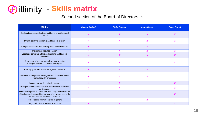### **@ illimity - Skills matrix**

### Second section of the Board of Directors list

| <b>Skills</b>                                                                                                                                                             | <b>Stefano Caringi</b> | <b>Nadia Fontana</b>      | <b>Laura Grassi</b> | <b>Paolo Prandi</b> |
|---------------------------------------------------------------------------------------------------------------------------------------------------------------------------|------------------------|---------------------------|---------------------|---------------------|
| Banking business and activity and banking and financial<br>products                                                                                                       |                        | $\boldsymbol{\mathsf{x}}$ |                     |                     |
| Dynamics of the economic and financial system                                                                                                                             | X                      | X                         |                     |                     |
| Competitive context and banking and financial markets                                                                                                                     | X                      |                           | X                   |                     |
| Planning and strategic vision                                                                                                                                             | X                      | $\boldsymbol{x}$          | $\mathbf v$         | v                   |
| Legal and corporate affairs and banking and financial<br>regulations                                                                                                      | X                      | X                         |                     |                     |
| Knowledge of internal control systems and risk<br>management and control methodologies                                                                                    |                        | $\boldsymbol{\mathsf{x}}$ |                     |                     |
| Banking governance and management systems                                                                                                                                 | X                      | $\boldsymbol{x}$          |                     |                     |
| Business management and organisation and information<br>technology (IT) processes                                                                                         | X                      | X                         | X                   | X                   |
| Accounting and financial disclosures                                                                                                                                      |                        | $\boldsymbol{\mathsf{x}}$ |                     |                     |
| Managerial/entrepreneurial skills possibly in an industrial<br>environment                                                                                                |                        | X                         |                     |                     |
| Skills in the sphere of turnaround financing not only in terms<br>of the financial technicalities but also of an awareness of the<br>implications for business operations |                        |                           |                     | X                   |
| Technological innovation skills in general                                                                                                                                |                        |                           | X                   |                     |
| Registration in the register of auditors                                                                                                                                  |                        |                           |                     |                     |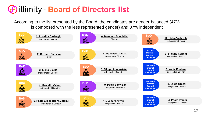## *E* illimity - Board of Directors list

According to the list presented by the Board, the candidates are gender-balanced (47% is composed with the less represented gender) and 87% independent